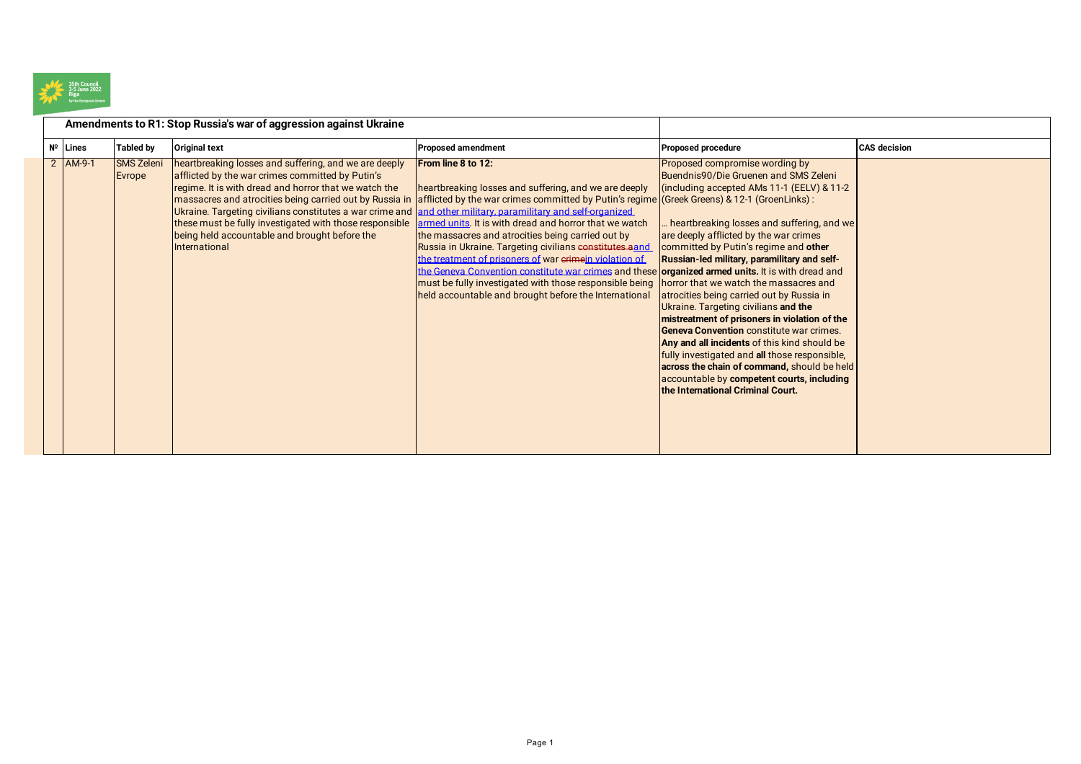

|  | Amendments to R1: Stop Russia's war of aggression against Ukraine |                             |                                                                                                                                                                                                                                                                                                                                                                                                                         |                                                                                                                                                                                                                                                                                                                                                                                                                                                                                                                                                                                                                                                                                                                                            |                                                                                                                                                                                                                                                                                                                                                                                                                                                                                                                                                                                                                                                                                                                                    |                     |
|--|-------------------------------------------------------------------|-----------------------------|-------------------------------------------------------------------------------------------------------------------------------------------------------------------------------------------------------------------------------------------------------------------------------------------------------------------------------------------------------------------------------------------------------------------------|--------------------------------------------------------------------------------------------------------------------------------------------------------------------------------------------------------------------------------------------------------------------------------------------------------------------------------------------------------------------------------------------------------------------------------------------------------------------------------------------------------------------------------------------------------------------------------------------------------------------------------------------------------------------------------------------------------------------------------------------|------------------------------------------------------------------------------------------------------------------------------------------------------------------------------------------------------------------------------------------------------------------------------------------------------------------------------------------------------------------------------------------------------------------------------------------------------------------------------------------------------------------------------------------------------------------------------------------------------------------------------------------------------------------------------------------------------------------------------------|---------------------|
|  | $N^{\circ}$ Lines                                                 | <b>Tabled by</b>            | <b>Original text</b>                                                                                                                                                                                                                                                                                                                                                                                                    | <b>Proposed amendment</b>                                                                                                                                                                                                                                                                                                                                                                                                                                                                                                                                                                                                                                                                                                                  | Proposed procedure                                                                                                                                                                                                                                                                                                                                                                                                                                                                                                                                                                                                                                                                                                                 | <b>CAS decision</b> |
|  | $2$ AM-9-1                                                        | <b>SMS Zeleni</b><br>Evrope | heartbreaking losses and suffering, and we are deeply<br>afflicted by the war crimes committed by Putin's<br>regime. It is with dread and horror that we watch the<br>Ukraine. Targeting civilians constitutes a war crime and and other military, paramilitary and self-organized.<br>these must be fully investigated with those responsible<br>being held accountable and brought before the<br><b>International</b> | From line 8 to 12:<br>heartbreaking losses and suffering, and we are deeply<br>massacres and atrocities being carried out by Russia in  afflicted by the war crimes committed by Putin's regime (Greek Greens) & 12-1 (GroenLinks) :<br>armed units. It is with dread and horror that we watch<br>the massacres and atrocities being carried out by<br>Russia in Ukraine. Targeting civilians constitutes aand<br>the treatment of prisoners of war crimein violation of<br>the Geneva Convention constitute war crimes and these organized armed units. It is with dread and<br>must be fully investigated with those responsible being   horror that we watch the massacres and<br>held accountable and brought before the International | Proposed compromise wording by<br>Buendnis90/Die Gruenen and SMS Zeleni<br>(including accepted AMs 11-1 (EELV) & 11-2<br>heartbreaking losses and suffering, and we<br>are deeply afflicted by the war crimes<br>committed by Putin's regime and other<br>Russian-led military, paramilitary and self-<br>atrocities being carried out by Russia in<br>Ukraine. Targeting civilians and the<br>mistreatment of prisoners in violation of the<br><b>Geneva Convention</b> constitute war crimes.<br>Any and all incidents of this kind should be<br>fully investigated and all those responsible,<br>across the chain of command, should be held<br>accountable by competent courts, including<br>the International Criminal Court. |                     |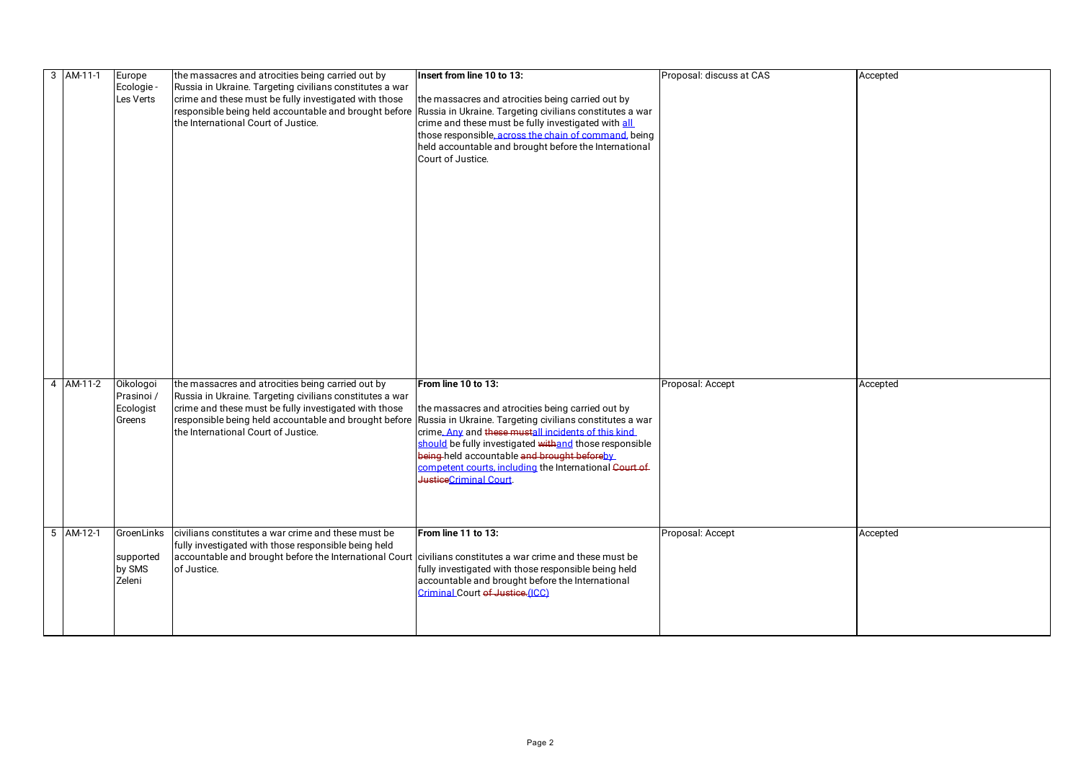| $3$ AM-11-1 | Europe<br>Ecologie -<br>Les Verts              | the massacres and atrocities being carried out by<br>Russia in Ukraine. Targeting civilians constitutes a war<br>crime and these must be fully investigated with those<br>responsible being held accountable and brought before Russia in Ukraine. Targeting civilians constitutes a war<br>the International Court of Justice. | Insert from line 10 to 13:<br>the massacres and atrocities being carried out by<br>crime and these must be fully investigated with all<br>those responsible, across the chain of command, being<br>held accountable and brought before the International<br>Court of Justice.                                                                                                            | Proposal: discuss at CAS | Accepted |
|-------------|------------------------------------------------|---------------------------------------------------------------------------------------------------------------------------------------------------------------------------------------------------------------------------------------------------------------------------------------------------------------------------------|------------------------------------------------------------------------------------------------------------------------------------------------------------------------------------------------------------------------------------------------------------------------------------------------------------------------------------------------------------------------------------------|--------------------------|----------|
| 4 AM-11-2   | Oikologoi<br>Prasinoi /<br>Ecologist<br>Greens | the massacres and atrocities being carried out by<br>Russia in Ukraine. Targeting civilians constitutes a war<br>crime and these must be fully investigated with those<br>responsible being held accountable and brought before<br>the International Court of Justice.                                                          | From line 10 to 13:<br>the massacres and atrocities being carried out by<br>Russia in Ukraine. Targeting civilians constitutes a war<br>crime. Any and these mustall incidents of this kind<br>should be fully investigated withand those responsible<br>being-held accountable and brought beforeby<br>competent courts, including the International Court of<br>JusticeCriminal Court. | Proposal: Accept         | Accepted |
| 5 AM-12-1   | GroenLinks<br>supported<br>by SMS<br>Zeleni    | civilians constitutes a war crime and these must be<br>fully investigated with those responsible being held<br>accountable and brought before the International Court<br>of Justice.                                                                                                                                            | From line 11 to 13:<br>civilians constitutes a war crime and these must be<br>fully investigated with those responsible being held<br>accountable and brought before the International<br>Criminal Court of Justice.(ICC)                                                                                                                                                                | Proposal: Accept         | Accepted |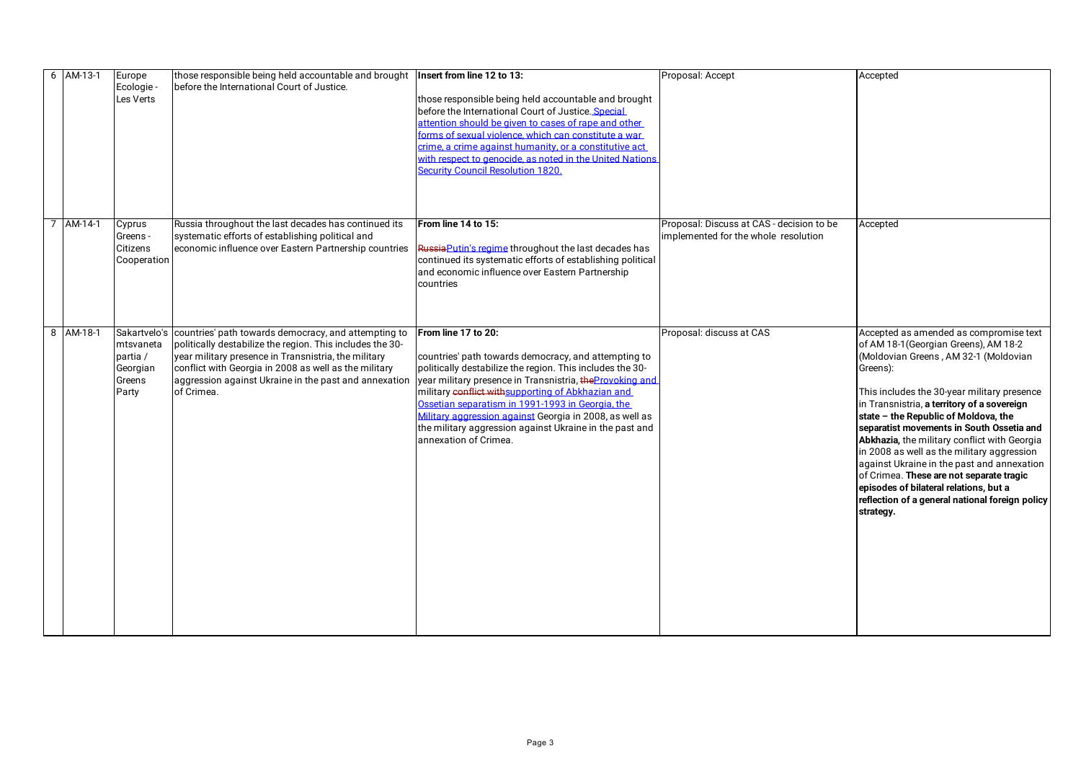|                | 6 AM-13-1 | Europe<br>Ecologie-<br>Les Verts                                     | those responsible being held accountable and brought   Insert from line 12 to 13:<br>before the International Court of Justice.                                                                                                                                                                           | those responsible being held accountable and brought<br>before the International Court of Justice. Special<br>attention should be given to cases of rape and other<br>forms of sexual violence, which can constitute a war<br>crime, a crime against humanity, or a constitutive act<br>with respect to genocide, as noted in the United Nations<br>Security Council Resolution 1820.                                                                         | Proposal: Accept                                                                  | Accepted                                                                                                                                                                                                                                                                                                                                                                                                                                                                                                                                                                                                                  |
|----------------|-----------|----------------------------------------------------------------------|-----------------------------------------------------------------------------------------------------------------------------------------------------------------------------------------------------------------------------------------------------------------------------------------------------------|---------------------------------------------------------------------------------------------------------------------------------------------------------------------------------------------------------------------------------------------------------------------------------------------------------------------------------------------------------------------------------------------------------------------------------------------------------------|-----------------------------------------------------------------------------------|---------------------------------------------------------------------------------------------------------------------------------------------------------------------------------------------------------------------------------------------------------------------------------------------------------------------------------------------------------------------------------------------------------------------------------------------------------------------------------------------------------------------------------------------------------------------------------------------------------------------------|
| $\overline{7}$ | AM-14-1   | Cyprus<br>Greens-<br>Citizens<br>Cooperation                         | Russia throughout the last decades has continued its<br>systematic efforts of establishing political and<br>economic influence over Eastern Partnership countries                                                                                                                                         | From line 14 to 15:<br>Russia Putin's regime throughout the last decades has<br>continued its systematic efforts of establishing political<br>and economic influence over Eastern Partnership<br>countries                                                                                                                                                                                                                                                    | Proposal: Discuss at CAS - decision to be<br>implemented for the whole resolution | Accepted                                                                                                                                                                                                                                                                                                                                                                                                                                                                                                                                                                                                                  |
|                | 8 AM-18-1 | Sakartvelo's<br>mtsvaneta<br>partia /<br>Georgian<br>Greens<br>Party | countries' path towards democracy, and attempting to<br>politically destabilize the region. This includes the 30-<br>year military presence in Transnistria, the military<br>conflict with Georgia in 2008 as well as the military<br>aggression against Ukraine in the past and annexation<br>of Crimea. | From line 17 to 20:<br>countries' path towards democracy, and attempting to<br>politically destabilize the region. This includes the 30-<br>year military presence in Transnistria, the Provoking and<br>military conflict withsupporting of Abkhazian and<br>Ossetian separatism in 1991-1993 in Georgia, the<br>Military aggression against Georgia in 2008, as well as<br>the military aggression against Ukraine in the past and<br>annexation of Crimea. | Proposal: discuss at CAS                                                          | Accepted as amended as compromise text<br>of AM 18-1 (Georgian Greens), AM 18-2<br>(Moldovian Greens, AM 32-1 (Moldovian<br>Greens):<br>This includes the 30-year military presence<br>in Transnistria, a territory of a sovereign<br>state - the Republic of Moldova, the<br>separatist movements in South Ossetia and<br>Abkhazia, the military conflict with Georgia<br>in 2008 as well as the military aggression<br>against Ukraine in the past and annexation<br>of Crimea. These are not separate tragic<br>episodes of bilateral relations, but a<br>reflection of a general national foreign policy<br>strategy. |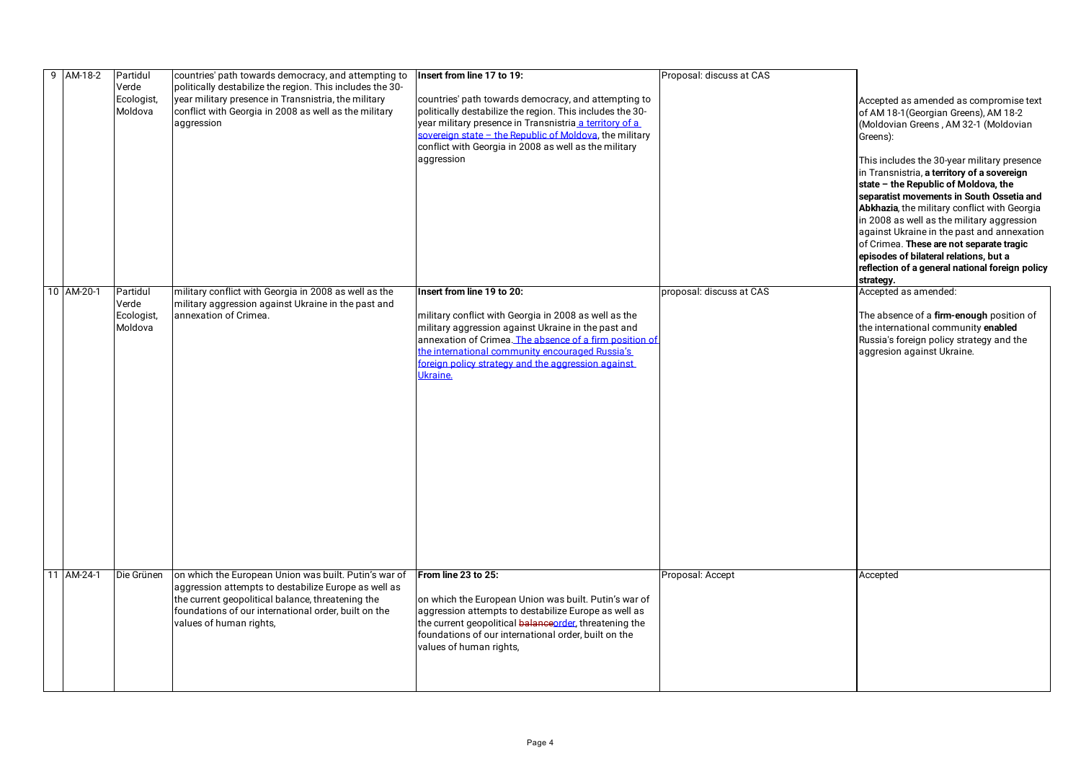|  | 9 AM-18-2  | Partidul<br>Verde<br>Ecologist,<br>Moldova | countries' path towards democracy, and attempting to<br>politically destabilize the region. This includes the 30-<br>year military presence in Transnistria, the military<br>conflict with Georgia in 2008 as well as the military<br>aggression      | Insert from line 17 to 19:<br>countries' path towards democracy, and attempting to<br>politically destabilize the region. This includes the 30-<br>year military presence in Transnistria a territory of a<br>sovereign state - the Republic of Moldova, the military<br>conflict with Georgia in 2008 as well as the military<br>aggression | Proposal: discuss at CAS | Accepted as amended as compromise text<br>of AM 18-1 (Georgian Greens), AM 18-2<br>(Moldovian Greens, AM 32-1 (Moldovian<br>Greens):<br>This includes the 30-year military presence<br>in Transnistria, a territory of a sovereign<br>state - the Republic of Moldova, the<br>separatist movements in South Ossetia and<br>Abkhazia, the military conflict with Georgia<br>in 2008 as well as the military aggression<br>against Ukraine in the past and annexation<br>of Crimea. These are not separate tragic<br>episodes of bilateral relations, but a<br>reflection of a general national foreign policy<br>strategy. |
|--|------------|--------------------------------------------|-------------------------------------------------------------------------------------------------------------------------------------------------------------------------------------------------------------------------------------------------------|----------------------------------------------------------------------------------------------------------------------------------------------------------------------------------------------------------------------------------------------------------------------------------------------------------------------------------------------|--------------------------|---------------------------------------------------------------------------------------------------------------------------------------------------------------------------------------------------------------------------------------------------------------------------------------------------------------------------------------------------------------------------------------------------------------------------------------------------------------------------------------------------------------------------------------------------------------------------------------------------------------------------|
|  | 10 AM-20-1 | Partidul<br>Verde<br>Ecologist,<br>Moldova | military conflict with Georgia in 2008 as well as the<br>military aggression against Ukraine in the past and<br>annexation of Crimea.                                                                                                                 | Insert from line 19 to 20:<br>military conflict with Georgia in 2008 as well as the<br>military aggression against Ukraine in the past and<br>annexation of Crimea. The absence of a firm position of<br>the international community encouraged Russia's<br>foreign policy strategy and the aggression against<br>Ukraine.                   | proposal: discuss at CAS | Accepted as amended:<br>The absence of a firm-enough position of<br>the international community enabled<br>Russia's foreign policy strategy and the<br>aggresion against Ukraine.                                                                                                                                                                                                                                                                                                                                                                                                                                         |
|  | 11 AM-24-1 | Die Grünen                                 | on which the European Union was built. Putin's war of<br>aggression attempts to destabilize Europe as well as<br>the current geopolitical balance, threatening the<br>foundations of our international order, built on the<br>values of human rights, | From line 23 to 25:<br>on which the European Union was built. Putin's war of<br>aggression attempts to destabilize Europe as well as<br>the current geopolitical balanceorder, threatening the<br>foundations of our international order, built on the<br>values of human rights,                                                            | Proposal: Accept         | Accepted                                                                                                                                                                                                                                                                                                                                                                                                                                                                                                                                                                                                                  |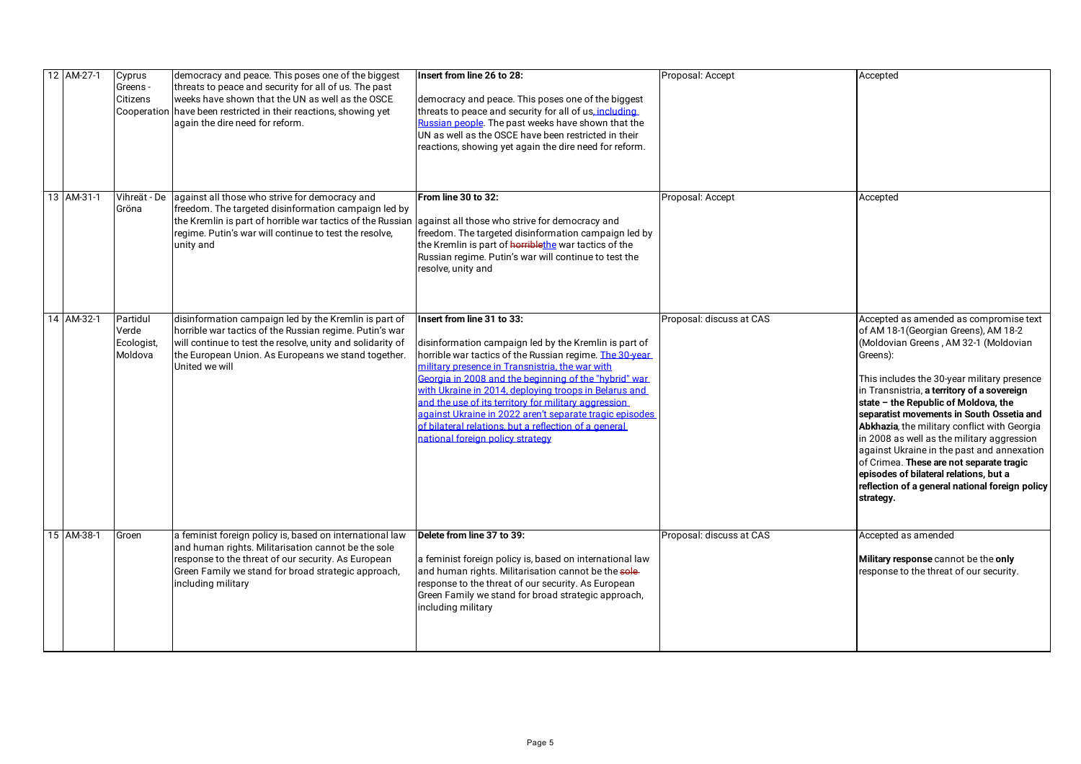| 12 AM-27-1 | Cyprus<br>Greens -<br>Citizens             | democracy and peace. This poses one of the biggest<br>threats to peace and security for all of us. The past<br>weeks have shown that the UN as well as the OSCE<br>Cooperation have been restricted in their reactions, showing yet<br>again the dire need for reform. | Insert from line 26 to 28:<br>democracy and peace. This poses one of the biggest<br>threats to peace and security for all of us, including<br>Russian people. The past weeks have shown that the<br>UN as well as the OSCE have been restricted in their<br>reactions, showing yet again the dire need for reform.                                                                                                                                                                                                                  | Proposal: Accept         | Accepted                                                                                                                                                                                                                                                                                                                                                                                                                                                                                                                                                                                                                  |
|------------|--------------------------------------------|------------------------------------------------------------------------------------------------------------------------------------------------------------------------------------------------------------------------------------------------------------------------|-------------------------------------------------------------------------------------------------------------------------------------------------------------------------------------------------------------------------------------------------------------------------------------------------------------------------------------------------------------------------------------------------------------------------------------------------------------------------------------------------------------------------------------|--------------------------|---------------------------------------------------------------------------------------------------------------------------------------------------------------------------------------------------------------------------------------------------------------------------------------------------------------------------------------------------------------------------------------------------------------------------------------------------------------------------------------------------------------------------------------------------------------------------------------------------------------------------|
| 13 AM-31-1 | Vihreät - De<br>Gröna                      | against all those who strive for democracy and<br>freedom. The targeted disinformation campaign led by<br>the Kremlin is part of horrible war tactics of the Russian<br>regime. Putin's war will continue to test the resolve,<br>unity and                            | From line 30 to 32:<br>against all those who strive for democracy and<br>freedom. The targeted disinformation campaign led by<br>the Kremlin is part of horriblethe war tactics of the<br>Russian regime. Putin's war will continue to test the<br>resolve, unity and                                                                                                                                                                                                                                                               | Proposal: Accept         | Accepted                                                                                                                                                                                                                                                                                                                                                                                                                                                                                                                                                                                                                  |
| 14 AM-32-1 | Partidul<br>Verde<br>Ecologist,<br>Moldova | disinformation campaign led by the Kremlin is part of<br>horrible war tactics of the Russian regime. Putin's war<br>will continue to test the resolve, unity and solidarity of<br>the European Union. As Europeans we stand together.<br>United we will                | Insert from line 31 to 33:<br>disinformation campaign led by the Kremlin is part of<br>horrible war tactics of the Russian regime. The 30-year<br>military presence in Transnistria, the war with<br>Georgia in 2008 and the beginning of the "hybrid" war<br>with Ukraine in 2014, deploying troops in Belarus and<br>and the use of its territory for military aggression<br>against Ukraine in 2022 aren't separate tragic episodes<br>of bilateral relations, but a reflection of a general<br>national foreign policy strategy | Proposal: discuss at CAS | Accepted as amended as compromise text<br>of AM 18-1 (Georgian Greens), AM 18-2<br>(Moldovian Greens, AM 32-1 (Moldovian<br>Greens):<br>This includes the 30-year military presence<br>in Transnistria, a territory of a sovereign<br>state - the Republic of Moldova, the<br>separatist movements in South Ossetia and<br>Abkhazia, the military conflict with Georgia<br>in 2008 as well as the military aggression<br>against Ukraine in the past and annexation<br>of Crimea. These are not separate tragic<br>episodes of bilateral relations, but a<br>reflection of a general national foreign policy<br>strategy. |
| 15 AM-38-1 | Groen                                      | a feminist foreign policy is, based on international law<br>and human rights. Militarisation cannot be the sole<br>response to the threat of our security. As European<br>Green Family we stand for broad strategic approach,<br>including military                    | Delete from line 37 to 39:<br>a feminist foreign policy is, based on international law<br>and human rights. Militarisation cannot be the sole-<br>response to the threat of our security. As European<br>Green Family we stand for broad strategic approach,<br>including military                                                                                                                                                                                                                                                  | Proposal: discuss at CAS | Accepted as amended<br>Military response cannot be the only<br>response to the threat of our security.                                                                                                                                                                                                                                                                                                                                                                                                                                                                                                                    |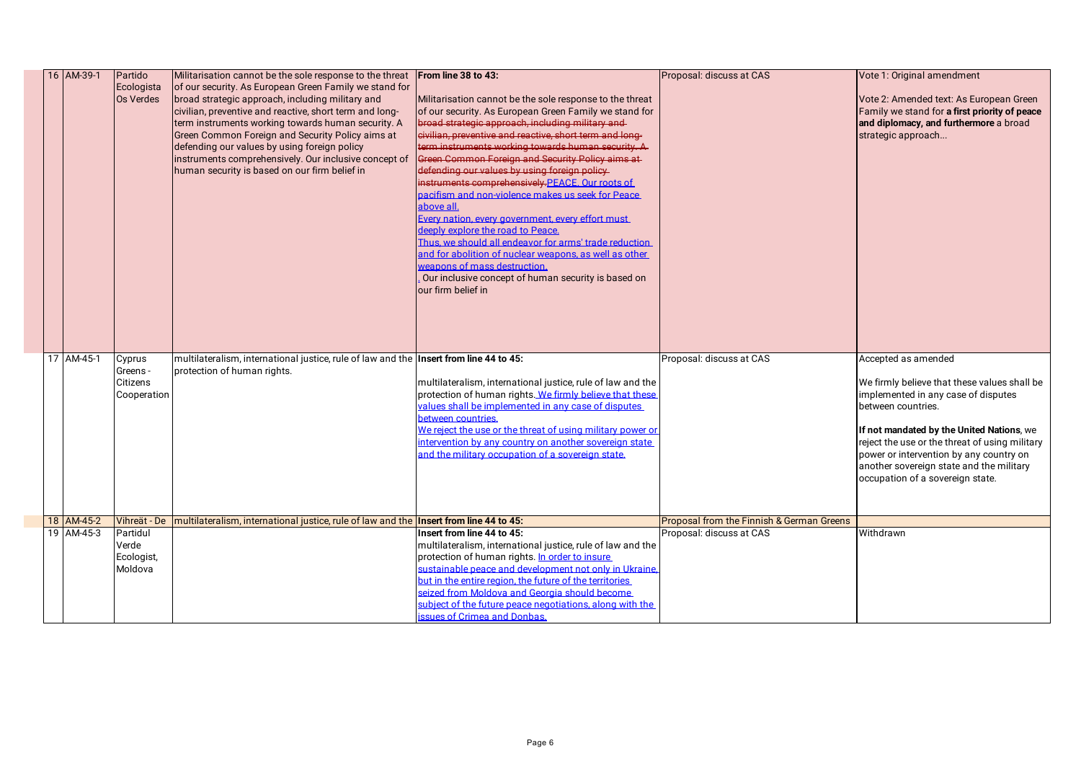|  | 16 AM-39-1 | Partido                                      | Militarisation cannot be the sole response to the threat                                                                                                                                                                                                                                                                                                                                                                                  | From line 38 to 43:                                                                                                                                                                                                                                                                                                                                                                                                                                                                                                                                                                                                                                                                                                                                                                                                                          | Proposal: discuss at CAS                  | Vote 1: Original amendment                                                                                                                                                                                                                                                                                                                                 |
|--|------------|----------------------------------------------|-------------------------------------------------------------------------------------------------------------------------------------------------------------------------------------------------------------------------------------------------------------------------------------------------------------------------------------------------------------------------------------------------------------------------------------------|----------------------------------------------------------------------------------------------------------------------------------------------------------------------------------------------------------------------------------------------------------------------------------------------------------------------------------------------------------------------------------------------------------------------------------------------------------------------------------------------------------------------------------------------------------------------------------------------------------------------------------------------------------------------------------------------------------------------------------------------------------------------------------------------------------------------------------------------|-------------------------------------------|------------------------------------------------------------------------------------------------------------------------------------------------------------------------------------------------------------------------------------------------------------------------------------------------------------------------------------------------------------|
|  |            | Ecologista<br><b>Os Verdes</b>               | of our security. As European Green Family we stand for<br>broad strategic approach, including military and<br>civilian, preventive and reactive, short term and long-<br>term instruments working towards human security. A<br>Green Common Foreign and Security Policy aims at<br>defending our values by using foreign policy<br>instruments comprehensively. Our inclusive concept of<br>human security is based on our firm belief in | Militarisation cannot be the sole response to the threat<br>of our security. As European Green Family we stand for<br>broad strategic approach, including military and<br>civilian, preventive and reactive, short term and long-<br>term instruments working towards human security. A<br>Green Common Foreign and Security Policy aims at<br>defending our values by using foreign policy<br>instruments comprehensively.PEACE, Our roots of<br>pacifism and non-violence makes us seek for Peace<br>above all.<br>Every nation, every government, every effort must<br>deeply explore the road to Peace.<br>Thus, we should all endeavor for arms' trade reduction<br>and for abolition of nuclear weapons, as well as other<br>weapons of mass destruction.<br>Our inclusive concept of human security is based on<br>our firm belief in |                                           | Vote 2: Amended text: As European Green<br>Family we stand for a first priority of peace<br>and diplomacy, and furthermore a broad<br>strategic approach                                                                                                                                                                                                   |
|  |            |                                              |                                                                                                                                                                                                                                                                                                                                                                                                                                           |                                                                                                                                                                                                                                                                                                                                                                                                                                                                                                                                                                                                                                                                                                                                                                                                                                              |                                           |                                                                                                                                                                                                                                                                                                                                                            |
|  | 17 AM-45-1 | Cyprus<br>Greens-<br>Citizens<br>Cooperation | multilateralism, international justice, rule of law and the <i>Insert from line 44 to 45:</i><br>protection of human rights.                                                                                                                                                                                                                                                                                                              | multilateralism, international justice, rule of law and the<br>protection of human rights. We firmly believe that these<br>values shall be implemented in any case of disputes<br>between countries<br>We reject the use or the threat of using military power or<br>intervention by any country on another sovereign state<br>and the military occupation of a sovereign state.                                                                                                                                                                                                                                                                                                                                                                                                                                                             | Proposal: discuss at CAS                  | Accepted as amended<br>We firmly believe that these values shall be<br>implemented in any case of disputes<br>between countries.<br>If not mandated by the United Nations, we<br>reject the use or the threat of using military<br>power or intervention by any country on<br>another sovereign state and the military<br>occupation of a sovereign state. |
|  | 18 AM-45-2 | Vihreät - De                                 | Imultilateralism, international justice, rule of law and the <b>Insert from line 44 to 45:</b>                                                                                                                                                                                                                                                                                                                                            |                                                                                                                                                                                                                                                                                                                                                                                                                                                                                                                                                                                                                                                                                                                                                                                                                                              | Proposal from the Finnish & German Greens |                                                                                                                                                                                                                                                                                                                                                            |
|  | 19 AM-45-3 | Partidul<br>Verde<br>Ecologist,<br>Moldova   |                                                                                                                                                                                                                                                                                                                                                                                                                                           | Insert from line 44 to 45:<br>multilateralism, international justice, rule of law and the<br>protection of human rights. In order to insure<br>sustainable peace and development not only in Ukraine.<br>but in the entire region, the future of the territories<br>seized from Moldova and Georgia should become<br>subiect of the future peace negotiations, along with the<br><b>issues of Crimea and Donbas.</b>                                                                                                                                                                                                                                                                                                                                                                                                                         | Proposal: discuss at CAS                  | Withdrawn                                                                                                                                                                                                                                                                                                                                                  |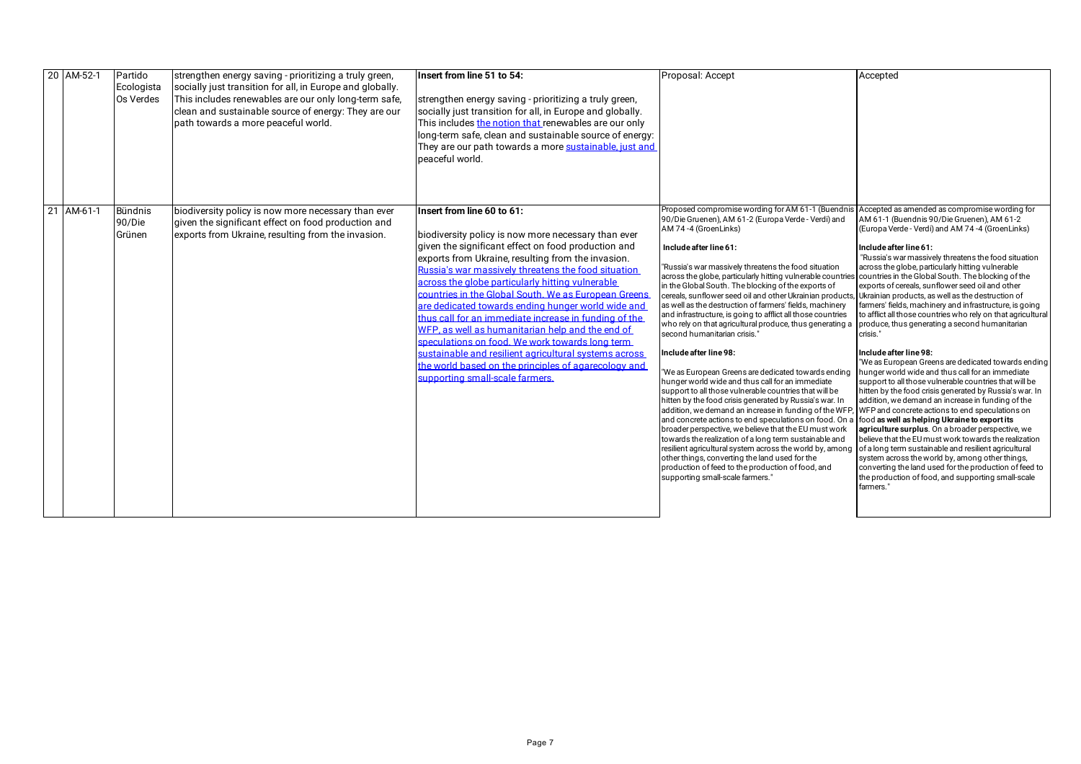| 20 AM-52-1   | Partido<br>Ecologista<br>Os Verdes | strengthen energy saving - prioritizing a truly green,<br>socially just transition for all, in Europe and globally.<br>This includes renewables are our only long-term safe,<br>clean and sustainable source of energy: They are our<br>path towards a more peaceful world. | Insert from line 51 to 54:<br>strengthen energy saving - prioritizing a truly green,<br>socially just transition for all, in Europe and globally.<br>This includes the notion that renewables are our only<br>long-term safe, clean and sustainable source of energy:<br>They are our path towards a more sustainable, just and<br>peaceful world.                                                                                                                                                                                                                                                                                                                                                                                          | Proposal: Accept                                                                                                                                                                                                                                                                                                                                                                                                                                                                                                                                                                                                                                                                                                                                                                                                                                                                                                                                                                                                                                                                                                                                                                                                                                                                                                                                                                                                                                                                       | Accepted                                                                                                                                                                                                                                                                                                                                                                                                                                                                                                                                                                                                                                                                                                                                                                                                                                                                                                                                                                                                                                                                                                                                                                                                                                                    |
|--------------|------------------------------------|-----------------------------------------------------------------------------------------------------------------------------------------------------------------------------------------------------------------------------------------------------------------------------|---------------------------------------------------------------------------------------------------------------------------------------------------------------------------------------------------------------------------------------------------------------------------------------------------------------------------------------------------------------------------------------------------------------------------------------------------------------------------------------------------------------------------------------------------------------------------------------------------------------------------------------------------------------------------------------------------------------------------------------------|----------------------------------------------------------------------------------------------------------------------------------------------------------------------------------------------------------------------------------------------------------------------------------------------------------------------------------------------------------------------------------------------------------------------------------------------------------------------------------------------------------------------------------------------------------------------------------------------------------------------------------------------------------------------------------------------------------------------------------------------------------------------------------------------------------------------------------------------------------------------------------------------------------------------------------------------------------------------------------------------------------------------------------------------------------------------------------------------------------------------------------------------------------------------------------------------------------------------------------------------------------------------------------------------------------------------------------------------------------------------------------------------------------------------------------------------------------------------------------------|-------------------------------------------------------------------------------------------------------------------------------------------------------------------------------------------------------------------------------------------------------------------------------------------------------------------------------------------------------------------------------------------------------------------------------------------------------------------------------------------------------------------------------------------------------------------------------------------------------------------------------------------------------------------------------------------------------------------------------------------------------------------------------------------------------------------------------------------------------------------------------------------------------------------------------------------------------------------------------------------------------------------------------------------------------------------------------------------------------------------------------------------------------------------------------------------------------------------------------------------------------------|
| $21$ AM-61-1 | Bündnis<br>90/Die<br>Grünen        | biodiversity policy is now more necessary than ever<br>given the significant effect on food production and<br>exports from Ukraine, resulting from the invasion.                                                                                                            | Insert from line 60 to 61:<br>biodiversity policy is now more necessary than ever<br>given the significant effect on food production and<br>exports from Ukraine, resulting from the invasion.<br>Russia's war massively threatens the food situation<br>across the globe particularly hitting vulnerable<br>countries in the Global South. We as European Greens<br>are dedicated towards ending hunger world wide and<br>thus call for an immediate increase in funding of the<br>WFP, as well as humanitarian help and the end of<br>speculations on food. We work towards long term<br>sustainable and resilient agricultural systems across<br>the world based on the principles of agarecology and<br>supporting small-scale farmers. | Proposed compromise wording for AM 61-1 (Buendnis Accepted as amended as compromise wording for<br>90/Die Gruenen), AM 61-2 (Europa Verde - Verdi) and<br>AM 74-4 (GroenLinks)<br>Include after line 61:<br>"Russia's war massively threatens the food situation<br>across the globe, particularly hitting vulnerable countries countries in the Global South. The blocking of the<br>in the Global South. The blocking of the exports of<br>cereals, sunflower seed oil and other Ukrainian products, Ukrainian products, as well as the destruction of<br>as well as the destruction of farmers' fields, machinery<br>and infrastructure, is going to afflict all those countries<br>who rely on that agricultural produce, thus generating a<br>second humanitarian crisis.<br>Include after line 98:<br>"We as European Greens are dedicated towards ending<br>hunger world wide and thus call for an immediate<br>support to all those vulnerable countries that will be<br>hitten by the food crisis generated by Russia's war. In<br>addition, we demand an increase in funding of the WFP,<br>and concrete actions to end speculations on food. On a<br>broader perspective, we believe that the EU must work<br>towards the realization of a long term sustainable and<br>resilient agricultural system across the world by, among<br>other things, converting the land used for the<br>production of feed to the production of food, and<br>supporting small-scale farmers." | AM 61-1 (Buendnis 90/Die Gruenen), AM 61-2<br>(Europa Verde - Verdi) and AM 74-4 (GroenLinks)<br>Include after line 61:<br>"Russia's war massively threatens the food situation<br>across the globe, particularly hitting vulnerable<br>exports of cereals, sunflower seed oil and other<br>farmers' fields, machinery and infrastructure, is going<br>to afflict all those countries who rely on that agricultural<br>produce, thus generating a second humanitarian<br>crisis.'<br>Include after line 98:<br>"We as European Greens are dedicated towards ending<br>hunger world wide and thus call for an immediate<br>support to all those vulnerable countries that will be<br>hitten by the food crisis generated by Russia's war. In<br>addition, we demand an increase in funding of the<br>WFP and concrete actions to end speculations on<br>food as well as helping Ukraine to export its<br>agriculture surplus. On a broader perspective, we<br>believe that the EU must work towards the realization<br>of a long term sustainable and resilient agricultural<br>system across the world by, among other things,<br>converting the land used for the production of feed to<br>the production of food, and supporting small-scale<br>farmers." |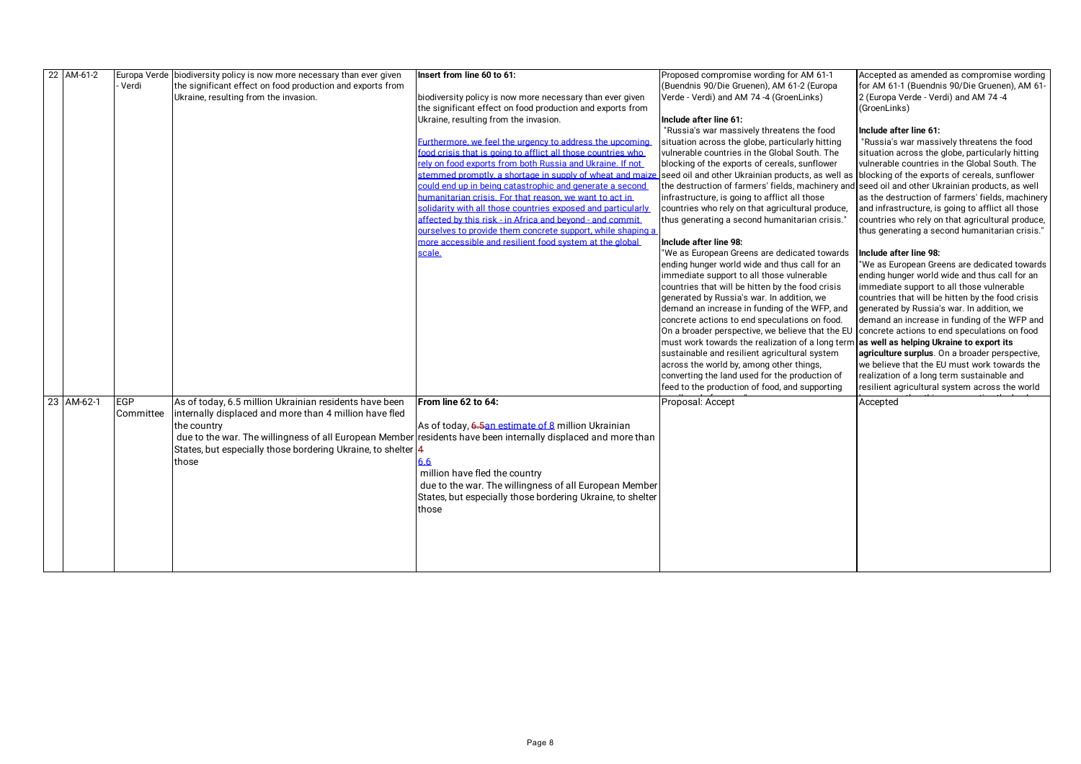| 22 AM-61-2 |              |                                                              | Insert from line 60 to 61:                                                                                    | Proposed compromise wording for AM 61-1                                                          | Accepted as amended as compromise wording         |
|------------|--------------|--------------------------------------------------------------|---------------------------------------------------------------------------------------------------------------|--------------------------------------------------------------------------------------------------|---------------------------------------------------|
|            | Europa Verde | biodiversity policy is now more necessary than ever given    |                                                                                                               |                                                                                                  |                                                   |
|            | Verdi        | the significant effect on food production and exports from   |                                                                                                               | (Buendnis 90/Die Gruenen), AM 61-2 (Europa                                                       | for AM 61-1 (Buendnis 90/Die Gruenen), AM 61-     |
|            |              | Ukraine, resulting from the invasion.                        | biodiversity policy is now more necessary than ever given                                                     | Verde - Verdi) and AM 74 -4 (GroenLinks)                                                         | 2 (Europa Verde - Verdi) and AM 74 -4             |
|            |              |                                                              | the significant effect on food production and exports from                                                    |                                                                                                  | (GroenLinks)                                      |
|            |              |                                                              | Ukraine, resulting from the invasion.                                                                         | Include after line 61:                                                                           |                                                   |
|            |              |                                                              |                                                                                                               | "Russia's war massively threatens the food                                                       | Include after line 61:                            |
|            |              |                                                              | Furthermore, we feel the urgency to address the upcoming                                                      | situation across the globe, particularly hitting                                                 | "Russia's war massively threatens the food        |
|            |              |                                                              | food crisis that is going to afflict all those countries who                                                  | vulnerable countries in the Global South. The                                                    | situation across the globe, particularly hitting  |
|            |              |                                                              | rely on food exports from both Russia and Ukraine. If not                                                     | blocking of the exports of cereals, sunflower                                                    | vulnerable countries in the Global South. The     |
|            |              |                                                              | stemmed promptly, a shortage in supply of wheat and maize                                                     | seed oil and other Ukrainian products, as well as blocking of the exports of cereals, sunflower  |                                                   |
|            |              |                                                              | could end up in being catastrophic and generate a second                                                      | the destruction of farmers' fields, machinery and seed oil and other Ukrainian products, as well |                                                   |
|            |              |                                                              | humanitarian crisis. For that reason, we want to act in                                                       | infrastructure, is going to afflict all those                                                    | as the destruction of farmers' fields, machinery  |
|            |              |                                                              | solidarity with all those countries exposed and particularly                                                  | countries who rely on that agricultural produce,                                                 | and infrastructure, is going to afflict all those |
|            |              |                                                              | affected by this risk - in Africa and bevond - and commit                                                     | thus generating a second humanitarian crisis."                                                   | countries who rely on that agricultural produce,  |
|            |              |                                                              | ourselves to provide them concrete support, while shaping a                                                   |                                                                                                  | thus generating a second humanitarian crisis."    |
|            |              |                                                              | more accessible and resilient food system at the global                                                       | Include after line 98:                                                                           |                                                   |
|            |              |                                                              | scale.                                                                                                        | "We as European Greens are dedicated towards                                                     | Include after line 98:                            |
|            |              |                                                              |                                                                                                               | ending hunger world wide and thus call for an                                                    | 'We as European Greens are dedicated towards      |
|            |              |                                                              |                                                                                                               | immediate support to all those vulnerable                                                        | ending hunger world wide and thus call for an     |
|            |              |                                                              |                                                                                                               | countries that will be hitten by the food crisis                                                 | immediate support to all those vulnerable         |
|            |              |                                                              |                                                                                                               | generated by Russia's war. In addition, we                                                       | countries that will be hitten by the food crisis  |
|            |              |                                                              |                                                                                                               | demand an increase in funding of the WFP, and                                                    | generated by Russia's war. In addition, we        |
|            |              |                                                              |                                                                                                               | concrete actions to end speculations on food.                                                    | demand an increase in funding of the WFP and      |
|            |              |                                                              |                                                                                                               |                                                                                                  |                                                   |
|            |              |                                                              |                                                                                                               | On a broader perspective, we believe that the EU                                                 | concrete actions to end speculations on food      |
|            |              |                                                              |                                                                                                               | must work towards the realization of a long term as well as helping Ukraine to export its        |                                                   |
|            |              |                                                              |                                                                                                               | sustainable and resilient agricultural system                                                    | agriculture surplus. On a broader perspective,    |
|            |              |                                                              |                                                                                                               | across the world by, among other things,                                                         | we believe that the EU must work towards the      |
|            |              |                                                              |                                                                                                               | converting the land used for the production of                                                   | realization of a long term sustainable and        |
|            |              |                                                              |                                                                                                               | feed to the production of food, and supporting                                                   | resilient agricultural system across the world    |
| 23 AM-62-1 | <b>EGP</b>   | As of today, 6.5 million Ukrainian residents have been       | From line 62 to 64:                                                                                           | Proposal: Accept                                                                                 | Accepted                                          |
|            | Committee    | internally displaced and more than 4 million have fled       |                                                                                                               |                                                                                                  |                                                   |
|            |              | the country                                                  | As of today, 6.5an estimate of 8 million Ukrainian                                                            |                                                                                                  |                                                   |
|            |              |                                                              | due to the war. The willingness of all European Member residents have been internally displaced and more than |                                                                                                  |                                                   |
|            |              | States, but especially those bordering Ukraine, to shelter 4 |                                                                                                               |                                                                                                  |                                                   |
|            |              |                                                              |                                                                                                               |                                                                                                  |                                                   |
|            |              | those                                                        | 6.6                                                                                                           |                                                                                                  |                                                   |
|            |              |                                                              | million have fled the country                                                                                 |                                                                                                  |                                                   |
|            |              |                                                              | due to the war. The willingness of all European Member                                                        |                                                                                                  |                                                   |
|            |              |                                                              | States, but especially those bordering Ukraine, to shelter                                                    |                                                                                                  |                                                   |
|            |              |                                                              | those                                                                                                         |                                                                                                  |                                                   |
|            |              |                                                              |                                                                                                               |                                                                                                  |                                                   |
|            |              |                                                              |                                                                                                               |                                                                                                  |                                                   |
|            |              |                                                              |                                                                                                               |                                                                                                  |                                                   |
|            |              |                                                              |                                                                                                               |                                                                                                  |                                                   |
|            |              |                                                              |                                                                                                               |                                                                                                  |                                                   |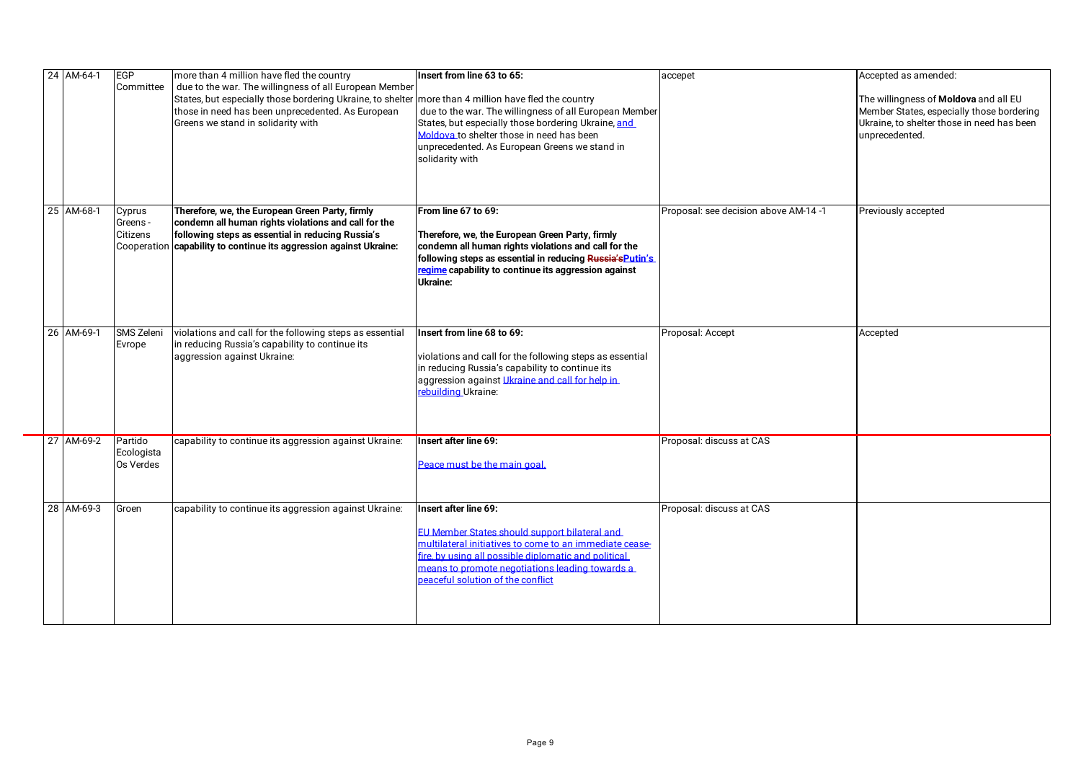| 24 AM-64-1 | EGP<br>Committee                   | more than 4 million have fled the country<br>due to the war. The willingness of all European Member<br>States, but especially those bordering Ukraine, to shelter more than 4 million have fled the country<br>those in need has been unprecedented. As European<br>Greens we stand in solidarity with | Insert from line 63 to 65:<br>due to the war. The willingness of all European Member<br>States, but especially those bordering Ukraine, and<br>Moldova to shelter those in need has been<br>unprecedented. As European Greens we stand in<br>solidarity with                      | accepet                               | Accepted as amended:<br>The willingness of Moldova and all EU<br>Member States, especially those bordering<br>Ukraine, to shelter those in need has been<br>unprecedented. |
|------------|------------------------------------|--------------------------------------------------------------------------------------------------------------------------------------------------------------------------------------------------------------------------------------------------------------------------------------------------------|-----------------------------------------------------------------------------------------------------------------------------------------------------------------------------------------------------------------------------------------------------------------------------------|---------------------------------------|----------------------------------------------------------------------------------------------------------------------------------------------------------------------------|
| 25 AM-68-1 | Cyprus<br>Greens -<br>Citizens     | Therefore, we, the European Green Party, firmly<br>condemn all human rights violations and call for the<br>following steps as essential in reducing Russia's<br>Cooperation capability to continue its aggression against Ukraine:                                                                     | From line 67 to 69:<br>Therefore, we, the European Green Party, firmly<br>condemn all human rights violations and call for the<br>following steps as essential in reducing Russia's Putin's<br>regime capability to continue its aggression against<br>Ukraine:                   | Proposal: see decision above AM-14 -1 | Previously accepted                                                                                                                                                        |
| 26 AM-69-1 | <b>SMS Zeleni</b><br>Evrope        | violations and call for the following steps as essential<br>in reducing Russia's capability to continue its<br>aggression against Ukraine:                                                                                                                                                             | Insert from line 68 to 69:<br>violations and call for the following steps as essential<br>in reducing Russia's capability to continue its<br>aggression against Ukraine and call for help in<br>rebuilding Ukraine:                                                               | Proposal: Accept                      | Accepted                                                                                                                                                                   |
| 27 AM-69-2 | Partido<br>Ecologista<br>Os Verdes | capability to continue its aggression against Ukraine:                                                                                                                                                                                                                                                 | Insert after line 69:<br>Peace must be the main goal.                                                                                                                                                                                                                             | Proposal: discuss at CAS              |                                                                                                                                                                            |
| 28 AM-69-3 | Groen                              | capability to continue its aggression against Ukraine:                                                                                                                                                                                                                                                 | Insert after line 69:<br>EU Member States should support bilateral and<br>multilateral initiatives to come to an immediate cease-<br>fire, by using all possible diplomatic and political<br>means to promote negotiations leading towards a<br>peaceful solution of the conflict | Proposal: discuss at CAS              |                                                                                                                                                                            |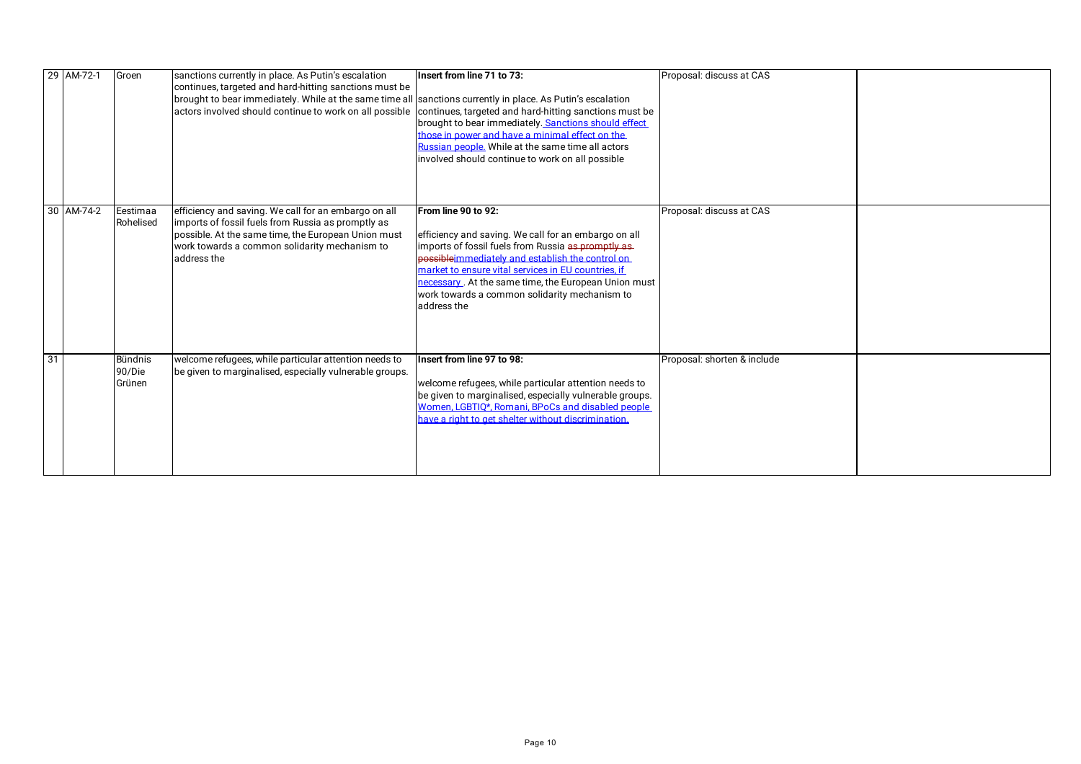|    | 29 AM-72-1 | Groen                              | sanctions currently in place. As Putin's escalation<br>continues, targeted and hard-hitting sanctions must be<br>brought to bear immediately. While at the same time all sanctions currently in place. As Putin's escalation<br>actors involved should continue to work on all possible | Insert from line 71 to 73:<br>continues, targeted and hard-hitting sanctions must be<br>brought to bear immediately. Sanctions should effect<br>those in power and have a minimal effect on the<br>Russian people. While at the same time all actors<br>involved should continue to work on all possible                                                              | Proposal: discuss at CAS    |  |
|----|------------|------------------------------------|-----------------------------------------------------------------------------------------------------------------------------------------------------------------------------------------------------------------------------------------------------------------------------------------|-----------------------------------------------------------------------------------------------------------------------------------------------------------------------------------------------------------------------------------------------------------------------------------------------------------------------------------------------------------------------|-----------------------------|--|
|    | 30 AM-74-2 | Eestimaa<br>Rohelised              | efficiency and saving. We call for an embargo on all<br>imports of fossil fuels from Russia as promptly as<br>possible. At the same time, the European Union must<br>work towards a common solidarity mechanism to<br>address the                                                       | From line 90 to 92:<br>efficiency and saving. We call for an embargo on all<br>imports of fossil fuels from Russia as promptly as<br>possible immediately and establish the control on<br>market to ensure vital services in EU countries, if<br>necessary. At the same time, the European Union must<br>work towards a common solidarity mechanism to<br>address the | Proposal: discuss at CAS    |  |
| 31 |            | <b>Bündnis</b><br>90/Die<br>Grünen | welcome refugees, while particular attention needs to<br>be given to marginalised, especially vulnerable groups.                                                                                                                                                                        | Insert from line 97 to 98:<br>welcome refugees, while particular attention needs to<br>be given to marginalised, especially vulnerable groups.<br>Women, LGBTIO*, Romani, BPoCs and disabled people<br>have a right to get shelter without discrimination.                                                                                                            | Proposal: shorten & include |  |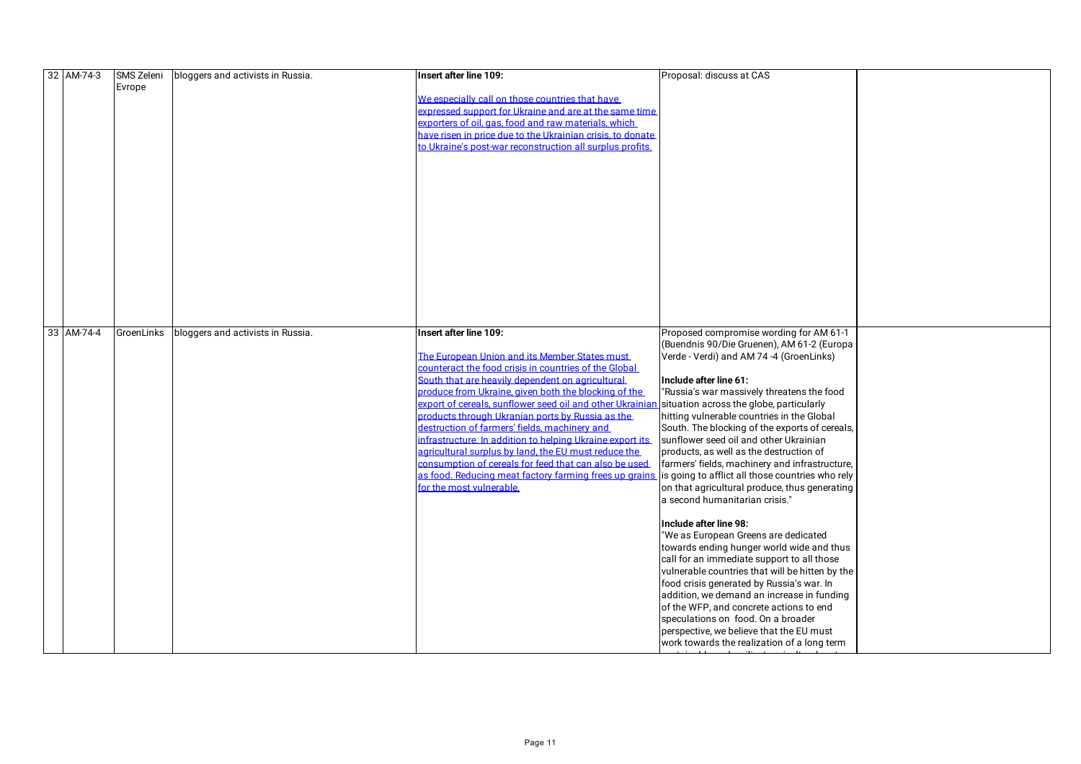| 32 AM-74-3 |            | SMS Zeleni bloggers and activists in Russia. | Insert after line 109:                                     | Proposal: discuss at CAS                                                          |  |
|------------|------------|----------------------------------------------|------------------------------------------------------------|-----------------------------------------------------------------------------------|--|
|            | Evrope     |                                              |                                                            |                                                                                   |  |
|            |            |                                              | We especially call on those countries that have            |                                                                                   |  |
|            |            |                                              | expressed support for Ukraine and are at the same time     |                                                                                   |  |
|            |            |                                              | exporters of oil, gas, food and raw materials, which       |                                                                                   |  |
|            |            |                                              | have risen in price due to the Ukrainian crisis, to donate |                                                                                   |  |
|            |            |                                              | to Ukraine's post-war reconstruction all surplus profits   |                                                                                   |  |
|            |            |                                              |                                                            |                                                                                   |  |
|            |            |                                              |                                                            |                                                                                   |  |
|            |            |                                              |                                                            |                                                                                   |  |
|            |            |                                              |                                                            |                                                                                   |  |
|            |            |                                              |                                                            |                                                                                   |  |
|            |            |                                              |                                                            |                                                                                   |  |
|            |            |                                              |                                                            |                                                                                   |  |
|            |            |                                              |                                                            |                                                                                   |  |
|            |            |                                              |                                                            |                                                                                   |  |
|            |            |                                              |                                                            |                                                                                   |  |
|            |            |                                              |                                                            |                                                                                   |  |
|            |            |                                              |                                                            |                                                                                   |  |
|            |            |                                              |                                                            |                                                                                   |  |
|            |            |                                              |                                                            |                                                                                   |  |
|            |            |                                              |                                                            |                                                                                   |  |
| 33 AM-74-4 | GroenLinks | bloggers and activists in Russia.            | Insert after line 109:                                     | Proposed compromise wording for AM 61-1                                           |  |
|            |            |                                              |                                                            | (Buendnis 90/Die Gruenen), AM 61-2 (Europa                                        |  |
|            |            |                                              | The European Union and its Member States must              | Verde - Verdi) and AM 74 -4 (GroenLinks)                                          |  |
|            |            |                                              | counteract the food crisis in countries of the Global      |                                                                                   |  |
|            |            |                                              | South that are heavily dependent on agricultural           | Include after line 61:                                                            |  |
|            |            |                                              | produce from Ukraine, given both the blocking of the       | "Russia's war massively threatens the food                                        |  |
|            |            |                                              | export of cereals, sunflower seed oil and other Ukrainiar  | situation across the globe, particularly                                          |  |
|            |            |                                              | products through Ukranian ports by Russia as the           | hitting vulnerable countries in the Global                                        |  |
|            |            |                                              | destruction of farmers' fields, machinery and              | South. The blocking of the exports of cereals,                                    |  |
|            |            |                                              | infrastructure. In addition to helping Ukraine export its  | sunflower seed oil and other Ukrainian                                            |  |
|            |            |                                              | agricultural surplus by land, the EU must reduce the       | products, as well as the destruction of                                           |  |
|            |            |                                              | consumption of cereals for feed that can also be used      | farmers' fields, machinery and infrastructure,                                    |  |
|            |            |                                              | as food. Reducing meat factory farming frees up grains     | is going to afflict all those countries who rely                                  |  |
|            |            |                                              | for the most vulnerable.                                   | on that agricultural produce, thus generating                                     |  |
|            |            |                                              |                                                            | a second humanitarian crisis."                                                    |  |
|            |            |                                              |                                                            |                                                                                   |  |
|            |            |                                              |                                                            | Include after line 98:                                                            |  |
|            |            |                                              |                                                            |                                                                                   |  |
|            |            |                                              |                                                            | "We as European Greens are dedicated<br>towards ending hunger world wide and thus |  |
|            |            |                                              |                                                            |                                                                                   |  |
|            |            |                                              |                                                            | call for an immediate support to all those                                        |  |
|            |            |                                              |                                                            | vulnerable countries that will be hitten by the                                   |  |
|            |            |                                              |                                                            | food crisis generated by Russia's war. In                                         |  |
|            |            |                                              |                                                            | addition, we demand an increase in funding                                        |  |
|            |            |                                              |                                                            | of the WFP, and concrete actions to end                                           |  |
|            |            |                                              |                                                            | speculations on food. On a broader                                                |  |
|            |            |                                              |                                                            | perspective, we believe that the EU must                                          |  |
|            |            |                                              |                                                            | work towards the realization of a long term                                       |  |
|            |            |                                              |                                                            |                                                                                   |  |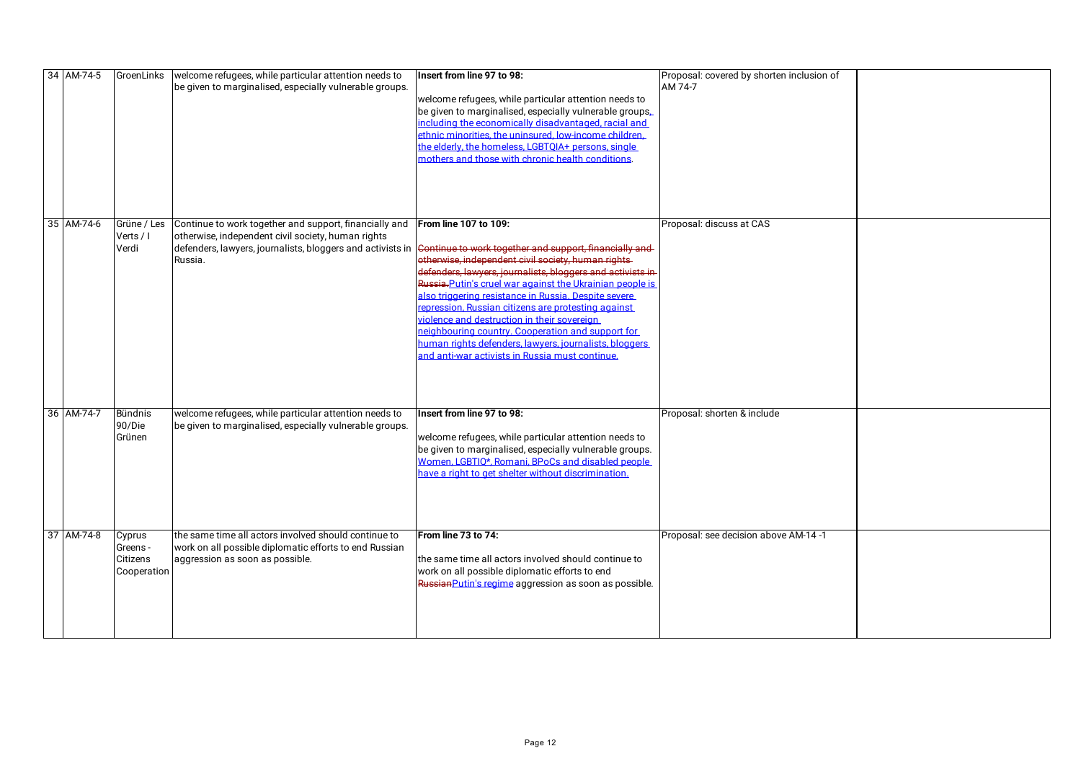| 34 AM-74-5 | GroenLinks                                    | welcome refugees, while particular attention needs to<br>be given to marginalised, especially vulnerable groups.                                                                      | Insert from line 97 to 98:<br>welcome refugees, while particular attention needs to<br>be given to marginalised, especially vulnerable groups.<br>including the economically disadvantaged, racial and<br>ethnic minorities, the uninsured, low-income children.<br>the elderly, the homeless, LGBTOIA+ persons, single<br>mothers and those with chronic health conditions.                                                                                                                                                                                                                     | Proposal: covered by shorten inclusion of<br>AM 74-7 |  |
|------------|-----------------------------------------------|---------------------------------------------------------------------------------------------------------------------------------------------------------------------------------------|--------------------------------------------------------------------------------------------------------------------------------------------------------------------------------------------------------------------------------------------------------------------------------------------------------------------------------------------------------------------------------------------------------------------------------------------------------------------------------------------------------------------------------------------------------------------------------------------------|------------------------------------------------------|--|
| 35 AM-74-6 | Grüne / Les<br>Verts / I<br>Verdi             | Continue to work together and support, financially and<br>otherwise, independent civil society, human rights<br>defenders, lawyers, journalists, bloggers and activists in<br>Russia. | From line 107 to 109:<br>Continue to work together and support, financially and<br>otherwise, independent civil society, human rights-<br>defenders, lawyers, journalists, bloggers and activists in<br>Russia Putin's cruel war against the Ukrainian people is<br>also triggering resistance in Russia. Despite severe<br>repression. Russian citizens are protesting against<br>violence and destruction in their sovereign<br>neighbouring country. Cooperation and support for<br>human rights defenders, lawyers, journalists, bloggers<br>and anti-war activists in Russia must continue. | Proposal: discuss at CAS                             |  |
| 36 AM-74-7 | <b>Bündnis</b><br>90/Die<br>Grünen            | welcome refugees, while particular attention needs to<br>be given to marginalised, especially vulnerable groups.                                                                      | Insert from line 97 to 98:<br>welcome refugees, while particular attention needs to<br>be given to marginalised, especially vulnerable groups.<br>Women, LGBTIO*, Romani, BPoCs and disabled people<br>have a right to get shelter without discrimination.                                                                                                                                                                                                                                                                                                                                       | Proposal: shorten & include                          |  |
| 37 AM-74-8 | Cyprus<br>Greens -<br>Citizens<br>Cooperation | the same time all actors involved should continue to<br>work on all possible diplomatic efforts to end Russian<br>aggression as soon as possible.                                     | From line 73 to 74:<br>the same time all actors involved should continue to<br>work on all possible diplomatic efforts to end<br>Russian Putin's regime aggression as soon as possible.                                                                                                                                                                                                                                                                                                                                                                                                          | Proposal: see decision above AM-14 -1                |  |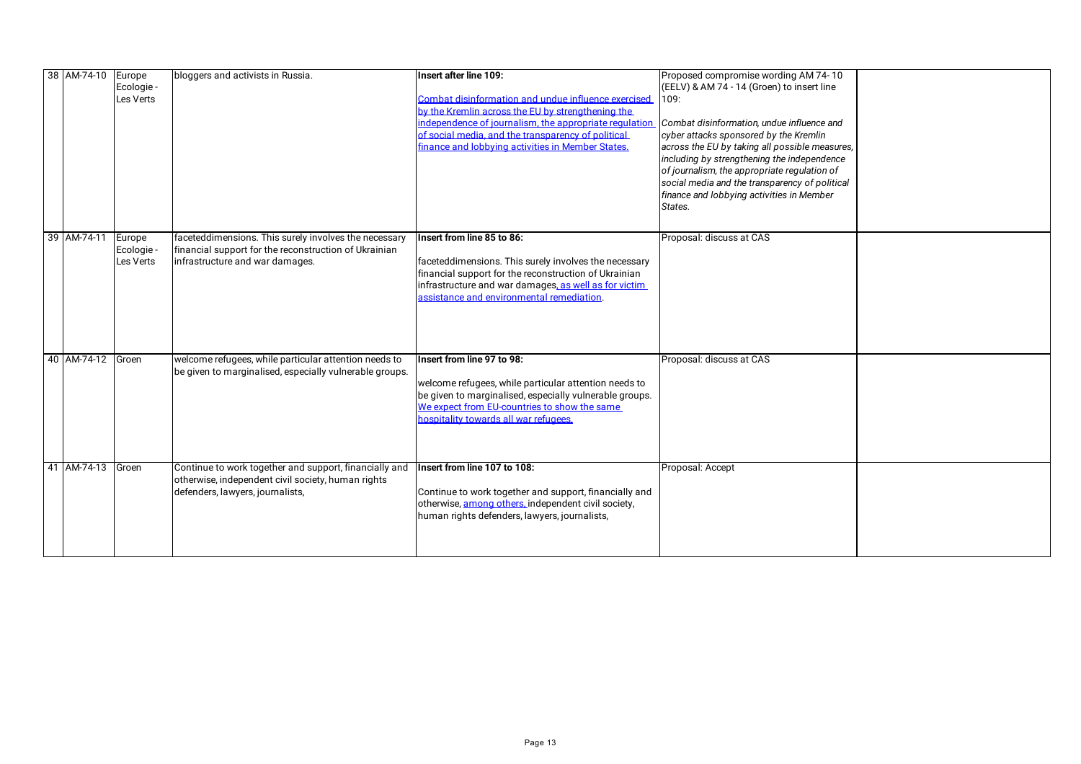|  | 38 AM-74-10 Europe | Ecologie -<br>Les Verts           | bloggers and activists in Russia.                                                                                                                 | <b>Insert after line 109:</b><br>Combat disinformation and undue influence exercised<br>by the Kremlin across the EU by strengthening the<br>independence of iournalism, the appropriate regulation<br>of social media, and the transparency of political<br>finance and lobbying activities in Member States. | Proposed compromise wording AM 74-10<br>(EELV) & AM 74 - 14 (Groen) to insert line<br>109:<br>Combat disinformation, undue influence and<br>cyber attacks sponsored by the Kremlin<br>across the EU by taking all possible measures,<br>including by strengthening the independence<br>of journalism, the appropriate regulation of<br>social media and the transparency of political<br>finance and lobbying activities in Member<br>States. |  |
|--|--------------------|-----------------------------------|---------------------------------------------------------------------------------------------------------------------------------------------------|----------------------------------------------------------------------------------------------------------------------------------------------------------------------------------------------------------------------------------------------------------------------------------------------------------------|-----------------------------------------------------------------------------------------------------------------------------------------------------------------------------------------------------------------------------------------------------------------------------------------------------------------------------------------------------------------------------------------------------------------------------------------------|--|
|  | 39 AM-74-11        | Europe<br>Ecologie -<br>Les Verts | faceteddimensions. This surely involves the necessary<br>financial support for the reconstruction of Ukrainian<br>infrastructure and war damages. | Insert from line 85 to 86:<br>faceteddimensions. This surely involves the necessary<br>financial support for the reconstruction of Ukrainian<br>infrastructure and war damages, as well as for victim<br>assistance and environmental remediation.                                                             | Proposal: discuss at CAS                                                                                                                                                                                                                                                                                                                                                                                                                      |  |
|  | 40 AM-74-12 Groen  |                                   | welcome refugees, while particular attention needs to<br>be given to marginalised, especially vulnerable groups.                                  | Insert from line 97 to 98:<br>welcome refugees, while particular attention needs to<br>be given to marginalised, especially vulnerable groups.<br>We expect from EU-countries to show the same<br>hospitality towards all war refugees.                                                                        | Proposal: discuss at CAS                                                                                                                                                                                                                                                                                                                                                                                                                      |  |
|  | 41 AM-74-13        | Groen                             | Continue to work together and support, financially and<br>otherwise, independent civil society, human rights<br>defenders, lawyers, journalists,  | Insert from line 107 to 108:<br>Continue to work together and support, financially and<br>otherwise, among others, independent civil society,<br>human rights defenders, lawyers, journalists,                                                                                                                 | Proposal: Accept                                                                                                                                                                                                                                                                                                                                                                                                                              |  |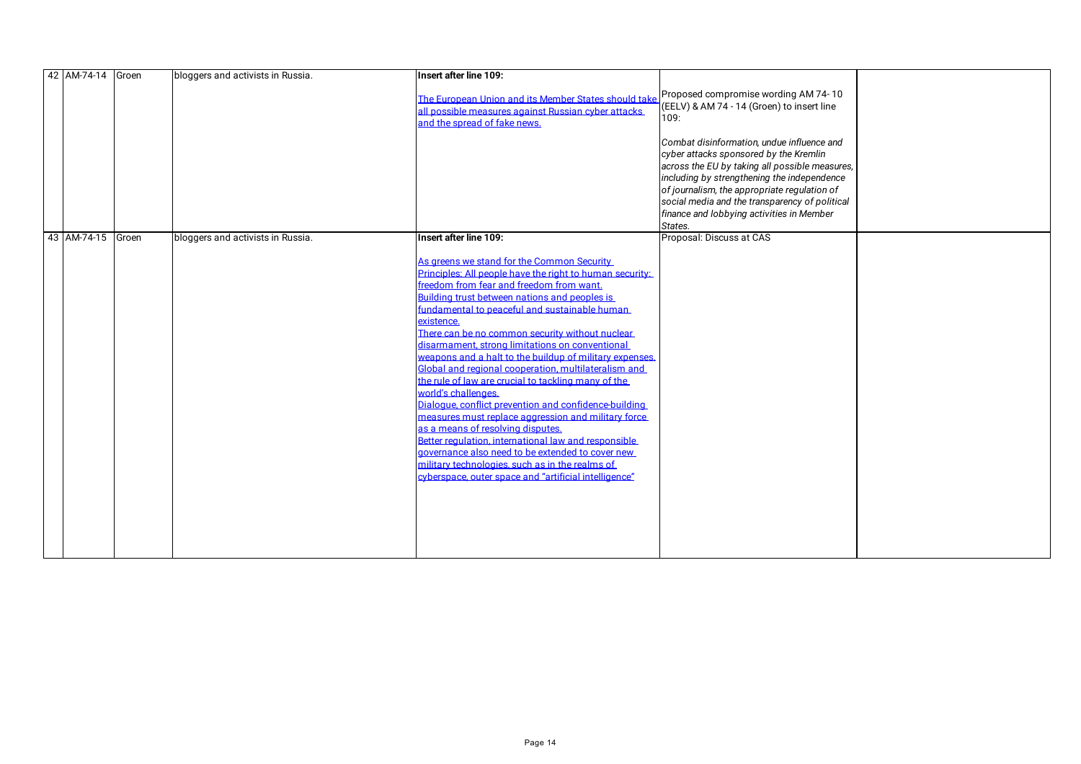|  | 42 AM-74-14 Groen | bloggers and activists in Russia. | Insert after line 109:                                                                                                                                                                                                                                                                                                                                                                                                                                                                                                                                                                                                                                                                                                                                                                                                                                                                                                                                 |                                                                                                                                                                                                                                                                                         |  |
|--|-------------------|-----------------------------------|--------------------------------------------------------------------------------------------------------------------------------------------------------------------------------------------------------------------------------------------------------------------------------------------------------------------------------------------------------------------------------------------------------------------------------------------------------------------------------------------------------------------------------------------------------------------------------------------------------------------------------------------------------------------------------------------------------------------------------------------------------------------------------------------------------------------------------------------------------------------------------------------------------------------------------------------------------|-----------------------------------------------------------------------------------------------------------------------------------------------------------------------------------------------------------------------------------------------------------------------------------------|--|
|  |                   |                                   | The European Union and its Member States should take<br>all possible measures against Russian cyber attacks<br>and the spread of fake news.                                                                                                                                                                                                                                                                                                                                                                                                                                                                                                                                                                                                                                                                                                                                                                                                            | Proposed compromise wording AM 74-10<br>(EELV) & AM 74 - 14 (Groen) to insert line<br>109:                                                                                                                                                                                              |  |
|  |                   |                                   |                                                                                                                                                                                                                                                                                                                                                                                                                                                                                                                                                                                                                                                                                                                                                                                                                                                                                                                                                        | Combat disinformation, undue influence and<br>cyber attacks sponsored by the Kremlin<br>across the EU by taking all possible measures,<br>including by strengthening the independence<br>of journalism, the appropriate regulation of<br>social media and the transparency of political |  |
|  |                   |                                   |                                                                                                                                                                                                                                                                                                                                                                                                                                                                                                                                                                                                                                                                                                                                                                                                                                                                                                                                                        | finance and lobbying activities in Member<br>States.                                                                                                                                                                                                                                    |  |
|  | 43 AM-74-15 Groen | bloggers and activists in Russia. | Insert after line 109:                                                                                                                                                                                                                                                                                                                                                                                                                                                                                                                                                                                                                                                                                                                                                                                                                                                                                                                                 | Proposal: Discuss at CAS                                                                                                                                                                                                                                                                |  |
|  |                   |                                   | As greens we stand for the Common Security<br>Principles: All people have the right to human security:<br>freedom from fear and freedom from want.<br>Building trust between nations and peoples is<br>fundamental to peaceful and sustainable human<br>existence.<br>There can be no common security without nuclear<br>disarmament, strong limitations on conventional<br>weapons and a halt to the buildup of military expenses.<br>Global and regional cooperation, multilateralism and<br>the rule of law are crucial to tackling many of the<br>world's challenges.<br>Dialogue, conflict prevention and confidence-building<br>measures must replace aggression and military force<br>as a means of resolving disputes.<br>Better regulation, international law and responsible<br>governance also need to be extended to cover new<br>military technologies, such as in the realms of<br>cyberspace, outer space and "artificial intelligence" |                                                                                                                                                                                                                                                                                         |  |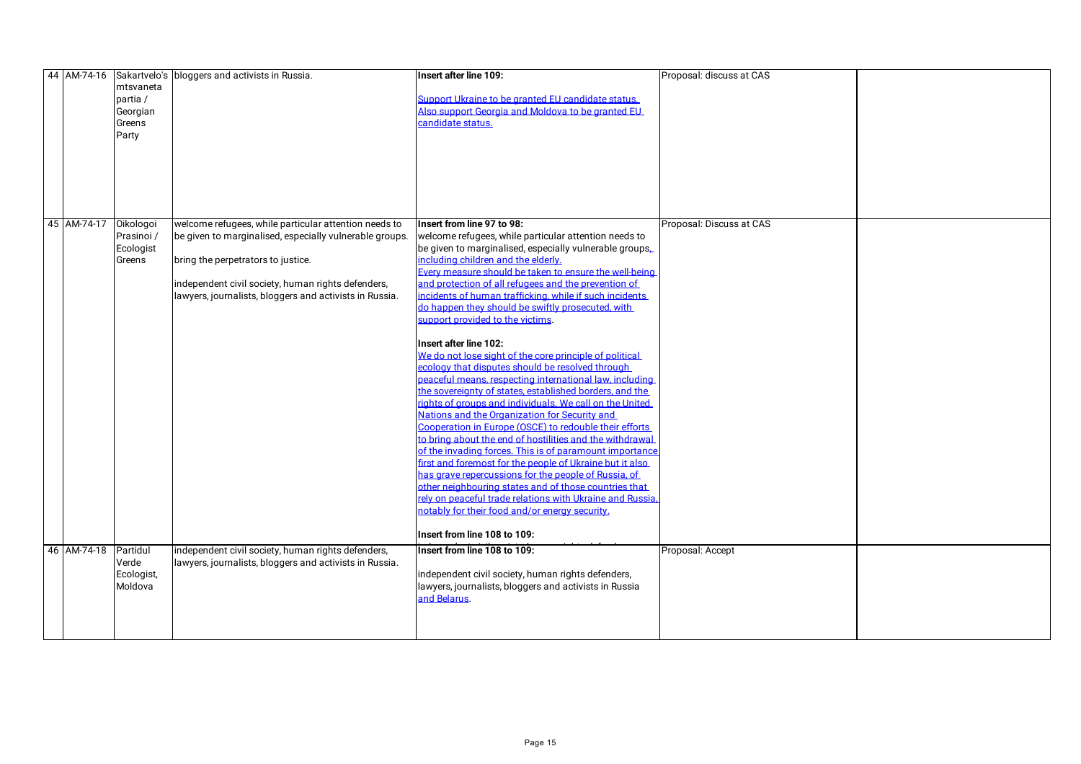|             |            | 44 AM-74-16 Sakartvelo's bloggers and activists in Russia. | Insert after line 109:                                   | Proposal: discuss at CAS |  |
|-------------|------------|------------------------------------------------------------|----------------------------------------------------------|--------------------------|--|
|             | mtsvaneta  |                                                            |                                                          |                          |  |
|             | partia /   |                                                            | Support Ukraine to be granted EU candidate status.       |                          |  |
|             | Georgian   |                                                            | Also support Georgia and Moldova to be granted EU        |                          |  |
|             |            |                                                            | candidate status.                                        |                          |  |
|             | Greens     |                                                            |                                                          |                          |  |
|             | Party      |                                                            |                                                          |                          |  |
|             |            |                                                            |                                                          |                          |  |
|             |            |                                                            |                                                          |                          |  |
|             |            |                                                            |                                                          |                          |  |
|             |            |                                                            |                                                          |                          |  |
|             |            |                                                            |                                                          |                          |  |
|             |            |                                                            |                                                          |                          |  |
|             |            |                                                            |                                                          |                          |  |
| 45 AM-74-17 | Oikologoi  | welcome refugees, while particular attention needs to      | Insert from line 97 to 98:                               | Proposal: Discuss at CAS |  |
|             | Prasinoi / | be given to marginalised, especially vulnerable groups.    | welcome refugees, while particular attention needs to    |                          |  |
|             | Ecologist  |                                                            | be given to marginalised, especially vulnerable groups.  |                          |  |
|             | Greens     | bring the perpetrators to justice.                         | including children and the elderly.                      |                          |  |
|             |            |                                                            | Every measure should be taken to ensure the well-being   |                          |  |
|             |            | independent civil society, human rights defenders,         | and protection of all refugees and the prevention of     |                          |  |
|             |            | lawyers, journalists, bloggers and activists in Russia.    | incidents of human trafficking, while if such incidents  |                          |  |
|             |            |                                                            | do happen they should be swiftly prosecuted, with        |                          |  |
|             |            |                                                            | support provided to the victims.                         |                          |  |
|             |            |                                                            |                                                          |                          |  |
|             |            |                                                            | Insert after line 102:                                   |                          |  |
|             |            |                                                            | We do not lose sight of the core principle of political  |                          |  |
|             |            |                                                            |                                                          |                          |  |
|             |            |                                                            | ecology that disputes should be resolved through         |                          |  |
|             |            |                                                            | peaceful means, respecting international law, including  |                          |  |
|             |            |                                                            | the sovereignty of states, established borders, and the  |                          |  |
|             |            |                                                            | rights of groups and individuals. We call on the United  |                          |  |
|             |            |                                                            | Nations and the Organization for Security and            |                          |  |
|             |            |                                                            | Cooperation in Europe (OSCE) to redouble their efforts   |                          |  |
|             |            |                                                            | to bring about the end of hostilities and the withdrawal |                          |  |
|             |            |                                                            | of the invading forces. This is of paramount importance  |                          |  |
|             |            |                                                            | first and foremost for the people of Ukraine but it also |                          |  |
|             |            |                                                            | has grave repercussions for the people of Russia, of     |                          |  |
|             |            |                                                            | other neighbouring states and of those countries that    |                          |  |
|             |            |                                                            | rely on peaceful trade relations with Ukraine and Russia |                          |  |
|             |            |                                                            |                                                          |                          |  |
|             |            |                                                            | notably for their food and/or energy security.           |                          |  |
|             |            |                                                            |                                                          |                          |  |
|             |            |                                                            | Insert from line 108 to 109:                             |                          |  |
| 46 AM-74-18 | Partidul   | independent civil society, human rights defenders,         | Insert from line 108 to 109:                             | Proposal: Accept         |  |
|             | Verde      | lawyers, journalists, bloggers and activists in Russia.    |                                                          |                          |  |
|             | Ecologist, |                                                            | independent civil society, human rights defenders,       |                          |  |
|             | Moldova    |                                                            | lawyers, journalists, bloggers and activists in Russia   |                          |  |
|             |            |                                                            | and Belarus                                              |                          |  |
|             |            |                                                            |                                                          |                          |  |
|             |            |                                                            |                                                          |                          |  |
|             |            |                                                            |                                                          |                          |  |
|             |            |                                                            |                                                          |                          |  |